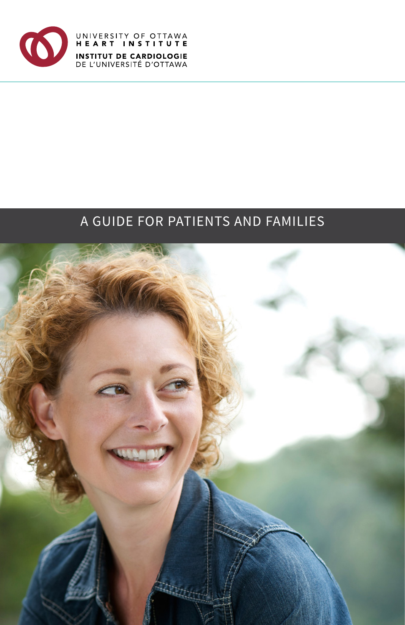

UNIVERSITY OF OTTAWA<br>HEART INSTITUTE **INSTITUT DE CARDIOLOGIE**<br>DE L'UNIVERSITÉ D'OTTAWA

# A GUIDE FOR PATIENTS AND FAMILIES

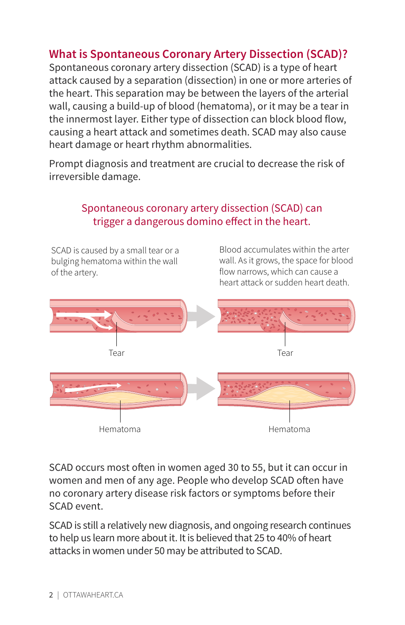# **What is Spontaneous Coronary Artery Dissection (SCAD)?**

Spontaneous coronary artery dissection (SCAD) is a type of heart attack caused by a separation (dissection) in one or more arteries of the heart. This separation may be between the layers of the arterial wall, causing a build-up of blood (hematoma), or it may be a tear in the innermost layer. Either type of dissection can block blood flow, causing a heart attack and sometimes death. SCAD may also cause heart damage or heart rhythm abnormalities.

Prompt diagnosis and treatment are crucial to decrease the risk of irreversible damage.

## Spontaneous coronary artery dissection (SCAD) can trigger a dangerous domino effect in the heart.

bulging hematoma within the wall of the artery. The structure of the artery.

SCAD is caused by a small tear or a **Blood** accumulates within the arter wall. As it grows, the space for blood heart attack or sudden heart death.



SCAD occurs most often in women aged 30 to 55, but it can occur in women and men of any age. People who develop SCAD often have no coronary artery disease risk factors or symptoms before their SCAD event.

SCAD is still a relatively new diagnosis, and ongoing research continues to help us learn more about it. It is believed that 25 to 40% of heart attacks in women under 50 may be attributed to SCAD.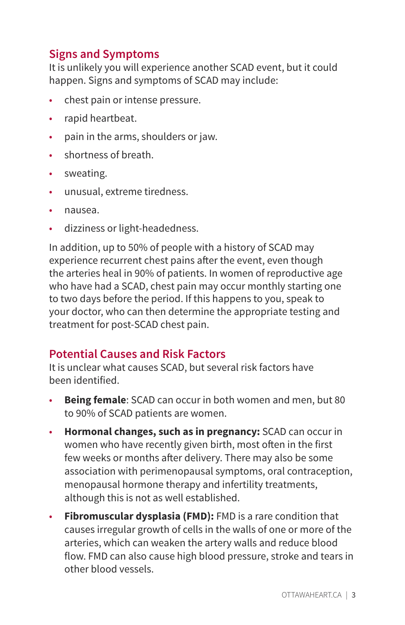# **Signs and Symptoms**

It is unlikely you will experience another SCAD event, but it could happen. Signs and symptoms of SCAD may include:

- chest pain or intense pressure.
- rapid heartbeat.
- pain in the arms, shoulders or jaw.
- shortness of breath.
- sweating.
- unusual, extreme tiredness.
- nausea.
- dizziness or light-headedness.

In addition, up to 50% of people with a history of SCAD may experience recurrent chest pains after the event, even though the arteries heal in 90% of patients. In women of reproductive age who have had a SCAD, chest pain may occur monthly starting one to two days before the period. If this happens to you, speak to your doctor, who can then determine the appropriate testing and treatment for post-SCAD chest pain.

# **Potential Causes and Risk Factors**

It is unclear what causes SCAD, but several risk factors have been identified.

- **Being female:** SCAD can occur in both women and men, but 80 to 90% of SCAD patients are women.
- **Hormonal changes, such as in pregnancy:** SCAD can occur in women who have recently given birth, most often in the first few weeks or months after delivery. There may also be some association with perimenopausal symptoms, oral contraception, menopausal hormone therapy and infertility treatments, although this is not as well established.
- **Fibromuscular dysplasia (FMD):** FMD is a rare condition that causes irregular growth of cells in the walls of one or more of the arteries, which can weaken the artery walls and reduce blood flow. FMD can also cause high blood pressure, stroke and tears in other blood vessels.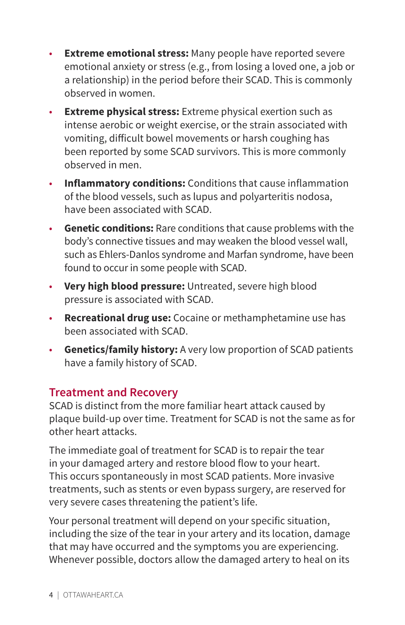- **Extreme emotional stress:** Many people have reported severe emotional anxiety or stress (e.g., from losing a loved one, a job or a relationship) in the period before their SCAD. This is commonly observed in women.
- **Extreme physical stress:** Extreme physical exertion such as intense aerobic or weight exercise, or the strain associated with vomiting, dificult bowel movements or harsh coughing has been reported by some SCAD survivors. This is more commonly observed in men.
- **Inflammatory conditions:** Conditions that cause inflammation of the blood vessels, such as lupus and polyarteritis nodosa, have been associated with SCAD.
- **Genetic conditions:** Rare conditions that cause problems with the body's connective tissues and may weaken the blood vessel wall, such as Ehlers-Danlos syndrome and Marfan syndrome, have been found to occur in some people with SCAD.
- **Very high blood pressure:** Untreated, severe high blood pressure is associated with SCAD.
- **Recreational drug use:** Cocaine or methamphetamine use has been associated with SCAD.
- **Genetics/family history:** A very low proportion of SCAD patients have a family history of SCAD.

# **Treatment and Recovery**

SCAD is distinct from the more familiar heart attack caused by plaque build-up over time. Treatment for SCAD is not the same as for other heart attacks.

The immediate goal of treatment for SCAD is to repair the tear in your damaged artery and restore blood flow to your heart. This occurs spontaneously in most SCAD patients. More invasive treatments, such as stents or even bypass surgery, are reserved for very severe cases threatening the patient's life.

Your personal treatment will depend on your specific situation, including the size of the tear in your artery and its location, damage that may have occurred and the symptoms you are experiencing. Whenever possible, doctors allow the damaged artery to heal on its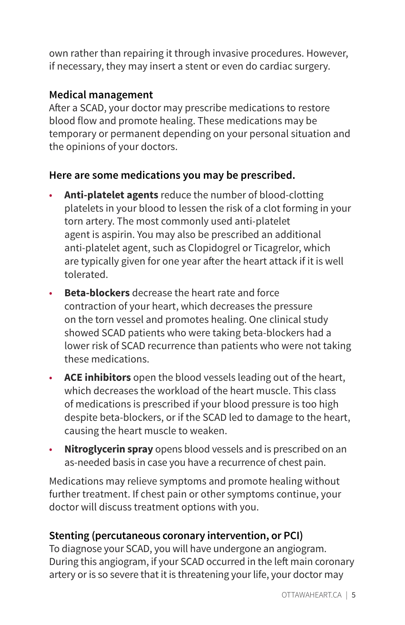own rather than repairing it through invasive procedures. However, if necessary, they may insert a stent or even do cardiac surgery.

### **Medical management**

Afer a SCAD, your doctor may prescribe medications to restore blood flow and promote healing. These medications may be temporary or permanent depending on your personal situation and the opinions of your doctors.

### **Here are some medications you may be prescribed.**

- **Anti-platelet agents** reduce the number of blood-clotting platelets in your blood to lessen the risk of a clot forming in your torn artery. The most commonly used anti-platelet agent is aspirin. You may also be prescribed an additional anti-platelet agent, such as Clopidogrel or Ticagrelor, which are typically given for one year after the heart attack if it is well tolerated.
- **Beta-blockers** decrease the heart rate and force contraction of your heart, which decreases the pressure on the torn vessel and promotes healing. One clinical study showed SCAD patients who were taking beta-blockers had a lower risk of SCAD recurrence than patients who were not taking these medications.
- **ACE inhibitors** open the blood vessels leading out of the heart, which decreases the workload of the heart muscle. This class of medications is prescribed if your blood pressure is too high despite beta-blockers, or if the SCAD led to damage to the heart, causing the heart muscle to weaken.
- **Nitroglycerin spray** opens blood vessels and is prescribed on an as-needed basis in case you have a recurrence of chest pain.

Medications may relieve symptoms and promote healing without further treatment. If chest pain or other symptoms continue, your doctor will discuss treatment options with you.

# **Stenting (percutaneous coronary intervention, or PCI)**

To diagnose your SCAD, you will have undergone an angiogram. During this angiogram, if your SCAD occurred in the left main coronary artery or is so severe that it is threatening your life, your doctor may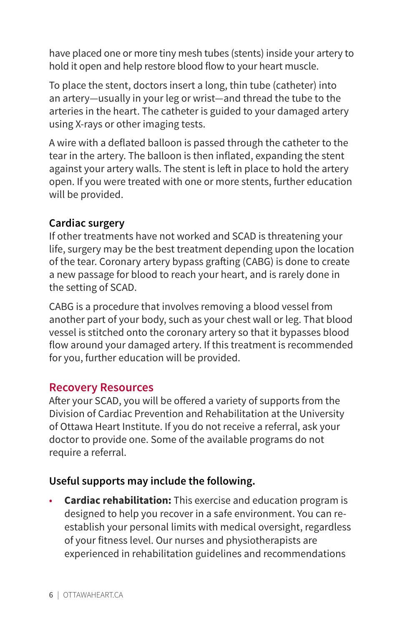have placed one or more tiny mesh tubes (stents) inside your artery to hold it open and help restore blood flow to your heart muscle.

To place the stent, doctors insert a long, thin tube (catheter) into an artery—usually in your leg or wrist—and thread the tube to the arteries in the heart. The catheter is guided to your damaged artery using X-rays or other imaging tests.

A wire with a deflated balloon is passed through the catheter to the tear in the artery. The balloon is then inflated, expanding the stent against your artery walls. The stent is left in place to hold the artery open. If you were treated with one or more stents, further education will be provided.

#### **Cardiac surgery**

If other treatments have not worked and SCAD is threatening your life, surgery may be the best treatment depending upon the location of the tear. Coronary artery bypass grafing (CABG) is done to create a new passage for blood to reach your heart, and is rarely done in the setting of SCAD.

CABG is a procedure that involves removing a blood vessel from another part of your body, such as your chest wall or leg. That blood vessel is stitched onto the coronary artery so that it bypasses blood flow around your damaged artery. If this treatment is recommended for you, further education will be provided.

### **Recovery Resources**

Afer your SCAD, you will be ofered a variety of supports from the Division of Cardiac Prevention and Rehabilitation at the University of Ottawa Heart Institute. If you do not receive a referral, ask your doctor to provide one. Some of the available programs do not require a referral.

### **Useful supports may include the following.**

• **Cardiac rehabilitation:** This exercise and education program is designed to help you recover in a safe environment. You can reestablish your personal limits with medical oversight, regardless of your fitness level. Our nurses and physiotherapists are experienced in rehabilitation guidelines and recommendations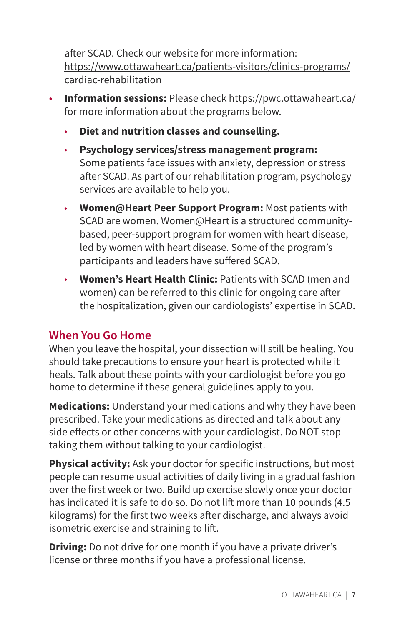after SCAD. Check our website for more information: [https://www.ottawaheart.ca/patients-visitors/clinics-programs/](https://www.ottawaheart.ca/patients-visitors/clinics-programs/cardiac-rehabilitation) [cardiac-rehabilitation](https://www.ottawaheart.ca/patients-visitors/clinics-programs/cardiac-rehabilitation)

- **Information sessions:** Please check [https://pwc.ottawaheart.ca/](https://pwc.ottawaheart.ca) for more information about the programs below.
	- **Diet and nutrition classes and counselling.**
	- ◆ **Psychology services/stress management program:** Some patients face issues with anxiety, depression or stress after SCAD. As part of our rehabilitation program, psychology services are available to help you.
	- **Women@Heart Peer Support Program: Most patients with** SCAD are women. Women@Heart is a structured communitybased, peer-support program for women with heart disease, led by women with heart disease. Some of the program's participants and leaders have sufered SCAD.
	- ◆ **Women's Heart Health Clinic:** Patients with SCAD (men and women) can be referred to this clinic for ongoing care afer the hospitalization, given our cardiologists' expertise in SCAD.

# **When You Go Home**

When you leave the hospital, your dissection will still be healing. You should take precautions to ensure your heart is protected while it heals. Talk about these points with your cardiologist before you go home to determine if these general guidelines apply to you.

**Medications:** Understand your medications and why they have been prescribed. Take your medications as directed and talk about any side efects or other concerns with your cardiologist. Do NOT stop taking them without talking to your cardiologist.

**Physical activity:** Ask your doctor for specific instructions, but most people can resume usual activities of daily living in a gradual fashion over the first week or two. Build up exercise slowly once your doctor has indicated it is safe to do so. Do not lift more than 10 pounds (4.5) kilograms) for the first two weeks after discharge, and always avoid isometric exercise and straining to lif.

**Driving:** Do not drive for one month if you have a private driver's license or three months if you have a professional license.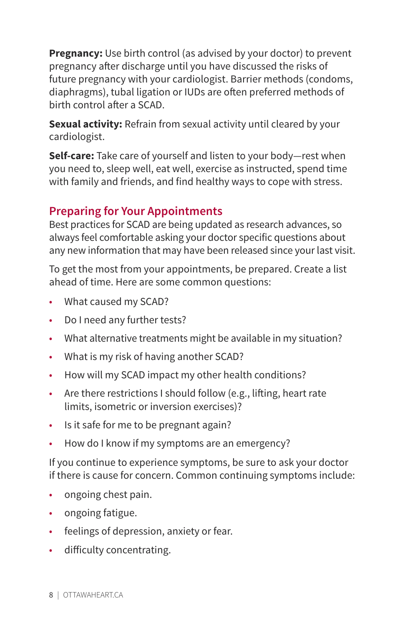**Pregnancy:** Use birth control (as advised by your doctor) to prevent pregnancy after discharge until you have discussed the risks of future pregnancy with your cardiologist. Barrier methods (condoms, diaphragms), tubal ligation or IUDs are often preferred methods of birth control after a SCAD.

**Sexual activity:** Refrain from sexual activity until cleared by your cardiologist.

**Self-care:** Take care of yourself and listen to your body—rest when you need to, sleep well, eat well, exercise as instructed, spend time with family and friends, and find healthy ways to cope with stress.

# **Preparing for Your Appointments**

Best practices for SCAD are being updated as research advances, so always feel comfortable asking your doctor specific questions about any new information that may have been released since your last visit.

To get the most from your appointments, be prepared. Create a list ahead of time. Here are some common questions:

- What caused my SCAD?
- Do I need any further tests?
- What alternative treatments might be available in my situation?
- What is my risk of having another SCAD?
- How will my SCAD impact my other health conditions?
- Are there restrictions I should follow (e.g., lifting, heart rate limits, isometric or inversion exercises)?
- Is it safe for me to be pregnant again?
- How do I know if my symptoms are an emergency?

If you continue to experience symptoms, be sure to ask your doctor if there is cause for concern. Common continuing symptoms include:

- ongoing chest pain.
- ongoing fatigue.
- feelings of depression, anxiety or fear.
- dificulty concentrating.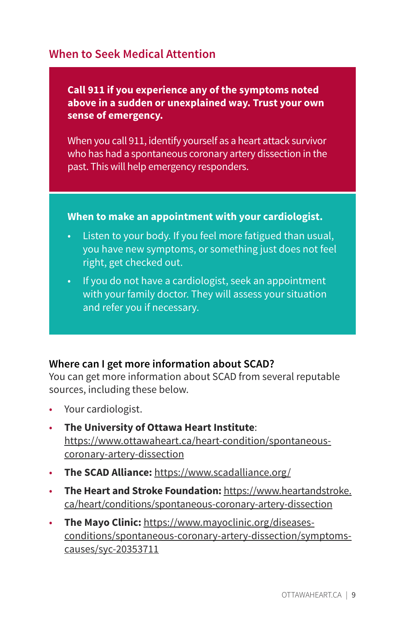## **When to Seek Medical Attention**

**Call 911 if you experience any of the symptoms noted above in a sudden or unexplained way. Trust your own sense of emergency.** 

When you call 911, identify yourself as a heart attack survivor who has had a spontaneous coronary artery dissection in the past. This will help emergency responders.

#### **When to make an appointment with your cardiologist.**

- Listen to your body. If you feel more fatigued than usual, you have new symptoms, or something just does not feel right, get checked out.
- If you do not have a cardiologist, seek an appointment with your family doctor. They will assess your situation and refer you if necessary.

#### **Where can I get more information about SCAD?**

You can get more information about SCAD from several reputable sources, including these below.

- Your cardiologist.
- **The University of Ottawa Heart Institute**: [https://www.ottawaheart.ca/heart-condition/spontaneous](https://www.ottawaheart.ca/heart-condition/spontaneous-coronary-artery-dissection)[coronary-artery-dissection](https://www.ottawaheart.ca/heart-condition/spontaneous-coronary-artery-dissection)
- **The SCAD Alliance:** <https://www.scadalliance.org/>
- **The Heart and Stroke Foundation:** [https://www.heartandstroke.](https://www.heartandstroke.ca/heart/conditions/spontaneous-coronary-artery-dissection)  [ca/heart/conditions/spontaneous-coronary-artery-dissection](https://www.heartandstroke.ca/heart/conditions/spontaneous-coronary-artery-dissection)
- **The Mayo Clinic:** [https://www.mayoclinic.org/diseases](https://www.mayoclinic.org/diseases-conditions/spontaneous-coronary-artery-dissection/symptoms-causes/syc-20353711)[conditions/spontaneous-coronary-artery-dissection/symptoms](https://www.mayoclinic.org/diseases-conditions/spontaneous-coronary-artery-dissection/symptoms-causes/syc-20353711)[causes/syc-20353711](https://www.mayoclinic.org/diseases-conditions/spontaneous-coronary-artery-dissection/symptoms-causes/syc-20353711)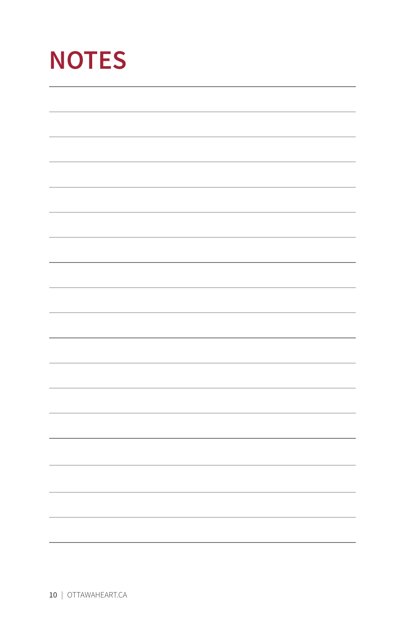| <b>NOTES</b> |  |  |  |  |  |
|--------------|--|--|--|--|--|
|              |  |  |  |  |  |
|              |  |  |  |  |  |
|              |  |  |  |  |  |
|              |  |  |  |  |  |
|              |  |  |  |  |  |
|              |  |  |  |  |  |
|              |  |  |  |  |  |
|              |  |  |  |  |  |
|              |  |  |  |  |  |
|              |  |  |  |  |  |
|              |  |  |  |  |  |
|              |  |  |  |  |  |
|              |  |  |  |  |  |
|              |  |  |  |  |  |
|              |  |  |  |  |  |
|              |  |  |  |  |  |